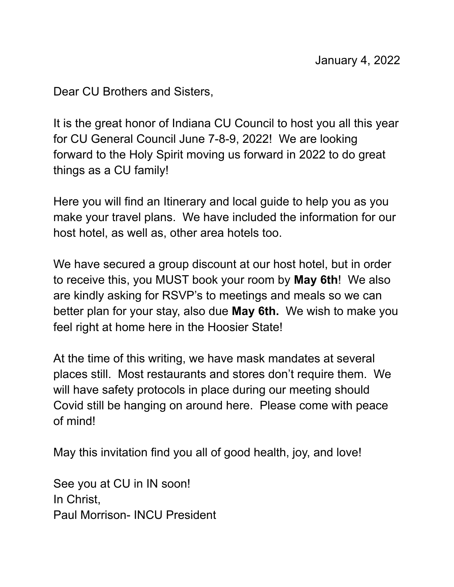Dear CU Brothers and Sisters,

It is the great honor of Indiana CU Council to host you all this year for CU General Council June 7-8-9, 2022! We are looking forward to the Holy Spirit moving us forward in 2022 to do great things as a CU family!

Here you will find an Itinerary and local guide to help you as you make your travel plans. We have included the information for our host hotel, as well as, other area hotels too.

We have secured a group discount at our host hotel, but in order to receive this, you MUST book your room by **May 6th**! We also are kindly asking for RSVP's to meetings and meals so we can better plan for your stay, also due **May 6th.** We wish to make you feel right at home here in the Hoosier State!

At the time of this writing, we have mask mandates at several places still. Most restaurants and stores don't require them. We will have safety protocols in place during our meeting should Covid still be hanging on around here. Please come with peace of mind!

May this invitation find you all of good health, joy, and love!

See you at CU in IN soon! In Christ, Paul Morrison- INCU President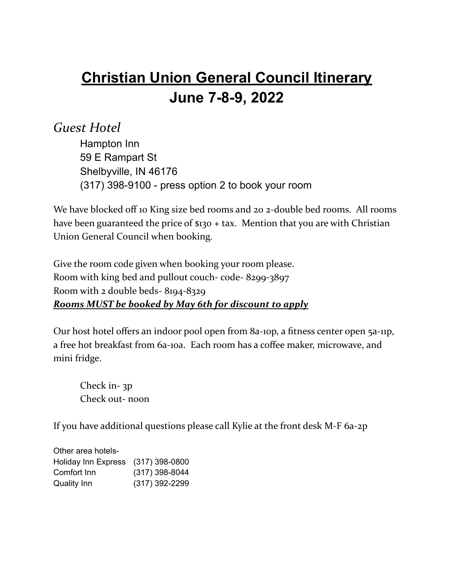# **Christian Union General Council Itinerary June 7-8-9, 2022**

### *Guest Hotel*

Hampton Inn 59 E Rampart St Shelbyville, IN 46176 (317) 398-9100 - press option 2 to book your room

We have blocked off 10 King size bed rooms and 20 2-double bed rooms. All rooms have been guaranteed the price of \$130 + tax. Mention that you are with Christian Union General Council when booking.

Give the room code given when booking your room please. Room with king bed and pullout couch- code- 8299-3897 Room with 2 double beds- 8194-8329 *Rooms MUST be booked by May 6th for discount to apply*

Our host hotel offers an indoor pool open from 8a-10p, a fitness center open 5a-11p, a free hot breakfast from 6a-10a. Each room has a coffee maker, microwave, and mini fridge.

Check in- 3p Check out- noon

If you have additional questions please call Kylie at the front desk M-F 6a-2p

Other area hotels-Holiday Inn Express (317) 398-0800 Comfort Inn (317) 398-8044 Quality Inn (317) 392-2299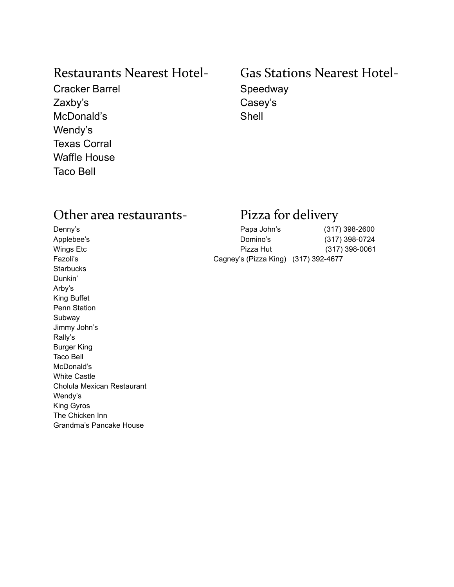Cracker Barrel Speedway Zaxby's Casey's McDonald's Shell Wendy's Texas Corral Waffle House Taco Bell

### Restaurants Nearest Hotel- Gas Stations Nearest Hotel-

### Other area restaurants- Pizza for delivery

Applebee's **Starbucks** Dunkin' Arby's King Buffet Penn Station Subway Jimmy John's Rally's Burger King Taco Bell McDonald's White Castle Cholula Mexican Restaurant Wendy's King Gyros The Chicken Inn Grandma's Pancake House

| Denny's    | Papa John's                          | (317) 398-2600 |
|------------|--------------------------------------|----------------|
| Applebee's | Domino's                             | (317) 398-0724 |
| Wings Etc  | Pizza Hut                            | (317) 398-0061 |
| Fazoli's   | Cagney's (Pizza King) (317) 392-4677 |                |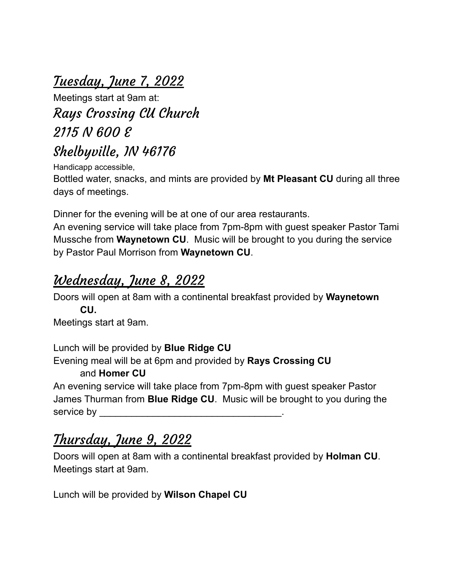# <u>Tuesday, June 7, 2022</u>

Meetings start at 9am at: Rays Crossing CU Church 2115 N 600 E Shelbyville, IN 46176

Handicapp accessible,

Bottled water, snacks, and mints are provided by **Mt Pleasant CU** during all three days of meetings.

Dinner for the evening will be at one of our area restaurants.

An evening service will take place from 7pm-8pm with guest speaker Pastor Tami Mussche from **Waynetown CU**. Music will be brought to you during the service by Pastor Paul Morrison from **Waynetown CU**.

### Wednesday, June 8, 2022

Doors will open at 8am with a continental breakfast provided by **Waynetown CU.**

Meetings start at 9am.

Lunch will be provided by **Blue Ridge CU**

Evening meal will be at 6pm and provided by **Rays Crossing CU**

### and **Homer CU**

An evening service will take place from 7pm-8pm with guest speaker Pastor James Thurman from **Blue Ridge CU**. Music will be brought to you during the service by

## Thursday, June 9, 2022

Doors will open at 8am with a continental breakfast provided by **Holman CU**. Meetings start at 9am.

Lunch will be provided by **Wilson Chapel CU**